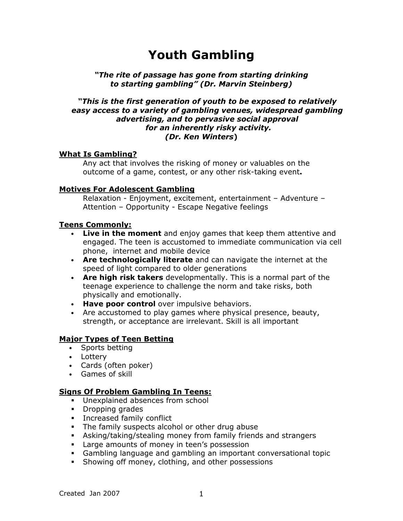# Youth Gambling

#### "The rite of passage has gone from starting drinking to starting gambling" (Dr. Marvin Steinberg)

#### "This is the first generation of youth to be exposed to relatively easy access to a variety of gambling venues, widespread gambling advertising, and to pervasive social approval for an inherently risky activity. (Dr. Ken Winters)

# What Is Gambling?

Any act that involves the risking of money or valuables on the outcome of a game, contest, or any other risk-taking event.

#### Motives For Adolescent Gambling

Relaxation - Enjoyment, excitement, entertainment – Adventure – Attention – Opportunity - Escape Negative feelings

#### Teens Commonly:

- Live in the moment and enjoy games that keep them attentive and engaged. The teen is accustomed to immediate communication via cell phone, internet and mobile device
- Are technologically literate and can navigate the internet at the speed of light compared to older generations
- Are high risk takers developmentally. This is a normal part of the teenage experience to challenge the norm and take risks, both physically and emotionally.
- Have poor control over impulsive behaviors.
- Are accustomed to play games where physical presence, beauty, strength, or acceptance are irrelevant. Skill is all important

# Major Types of Teen Betting

- Sports betting
- Lottery
- Cards (often poker)
- Games of skill

# Signs Of Problem Gambling In Teens:

- **Unexplained absences from school**
- Dropping grades
- **Increased family conflict**
- The family suspects alcohol or other drug abuse
- Asking/taking/stealing money from family friends and strangers
- **Large amounts of money in teen's possession**
- Gambling language and gambling an important conversational topic
- **Showing off money, clothing, and other possessions**